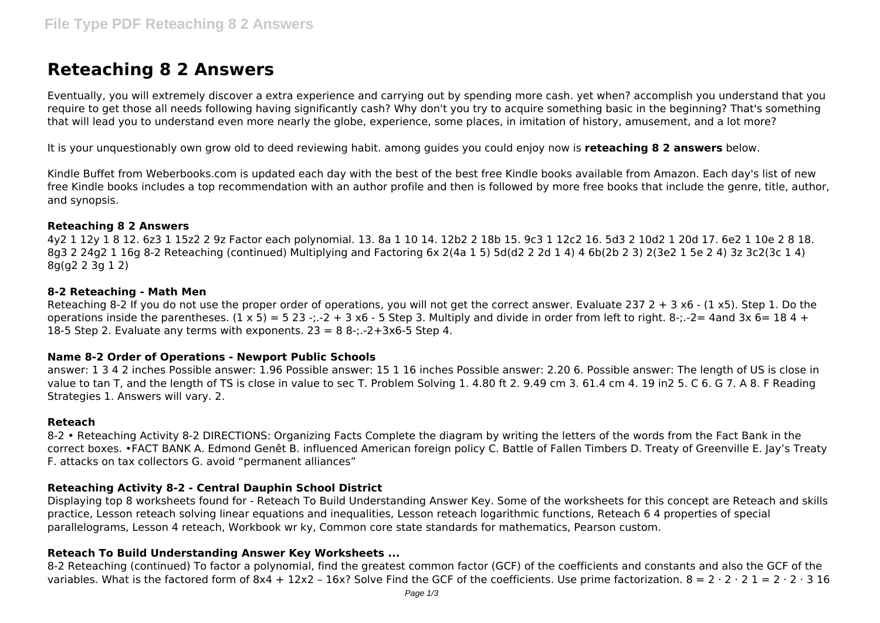# **Reteaching 8 2 Answers**

Eventually, you will extremely discover a extra experience and carrying out by spending more cash. yet when? accomplish you understand that you require to get those all needs following having significantly cash? Why don't you try to acquire something basic in the beginning? That's something that will lead you to understand even more nearly the globe, experience, some places, in imitation of history, amusement, and a lot more?

It is your unquestionably own grow old to deed reviewing habit. among guides you could enjoy now is **reteaching 8 2 answers** below.

Kindle Buffet from Weberbooks.com is updated each day with the best of the best free Kindle books available from Amazon. Each day's list of new free Kindle books includes a top recommendation with an author profile and then is followed by more free books that include the genre, title, author, and synopsis.

## **Reteaching 8 2 Answers**

4y2 1 12y 1 8 12. 6z3 1 15z2 2 9z Factor each polynomial. 13. 8a 1 10 14. 12b2 2 18b 15. 9c3 1 12c2 16. 5d3 2 10d2 1 20d 17. 6e2 1 10e 2 8 18. 8g3 2 24g2 1 16g 8-2 Reteaching (continued) Multiplying and Factoring 6x 2(4a 1 5) 5d(d2 2 2d 1 4) 4 6b(2b 2 3) 2(3e2 1 5e 2 4) 3z 3c2(3c 1 4) 8g(g2 2 3g 1 2)

## **8-2 Reteaching - Math Men**

Reteaching 8-2 If you do not use the proper order of operations, you will not get the correct answer. Evaluate 237  $2 + 3 \times 6 - (1 \times 5)$ . Step 1. Do the operations inside the parentheses.  $(1 \times 5) = 5 \times 23$  -;.-2 + 3 x6 - 5 Step 3. Multiply and divide in order from left to right. 8-;.-2= 4and 3x 6= 18 4 + 18-5 Step 2. Evaluate any terms with exponents.  $23 = 88$ -;.-2+3x6-5 Step 4.

# **Name 8-2 Order of Operations - Newport Public Schools**

answer: 1 3 4 2 inches Possible answer: 1.96 Possible answer: 15 1 16 inches Possible answer: 2.20 6. Possible answer: The length of US is close in value to tan T, and the length of TS is close in value to sec T. Problem Solving 1. 4.80 ft 2. 9.49 cm 3. 61.4 cm 4. 19 in2 5. C 6. G 7. A 8. F Reading Strategies 1. Answers will vary. 2.

#### **Reteach**

8-2 • Reteaching Activity 8-2 DIRECTIONS: Organizing Facts Complete the diagram by writing the letters of the words from the Fact Bank in the correct boxes. •FACT BANK A. Edmond Genêt B. influenced American foreign policy C. Battle of Fallen Timbers D. Treaty of Greenville E. Jay's Treaty F. attacks on tax collectors G. avoid "permanent alliances"

# **Reteaching Activity 8-2 - Central Dauphin School District**

Displaying top 8 worksheets found for - Reteach To Build Understanding Answer Key. Some of the worksheets for this concept are Reteach and skills practice, Lesson reteach solving linear equations and inequalities, Lesson reteach logarithmic functions, Reteach 6 4 properties of special parallelograms, Lesson 4 reteach, Workbook wr ky, Common core state standards for mathematics, Pearson custom.

# **Reteach To Build Understanding Answer Key Worksheets ...**

8-2 Reteaching (continued) To factor a polynomial, find the greatest common factor (GCF) of the coefficients and constants and also the GCF of the variables. What is the factored form of 8x4 + 12x2 - 16x? Solve Find the GCF of the coefficients. Use prime factorization.  $8 = 2 \cdot 2 \cdot 2 \cdot 1 = 2 \cdot 2 \cdot 3 \cdot 16$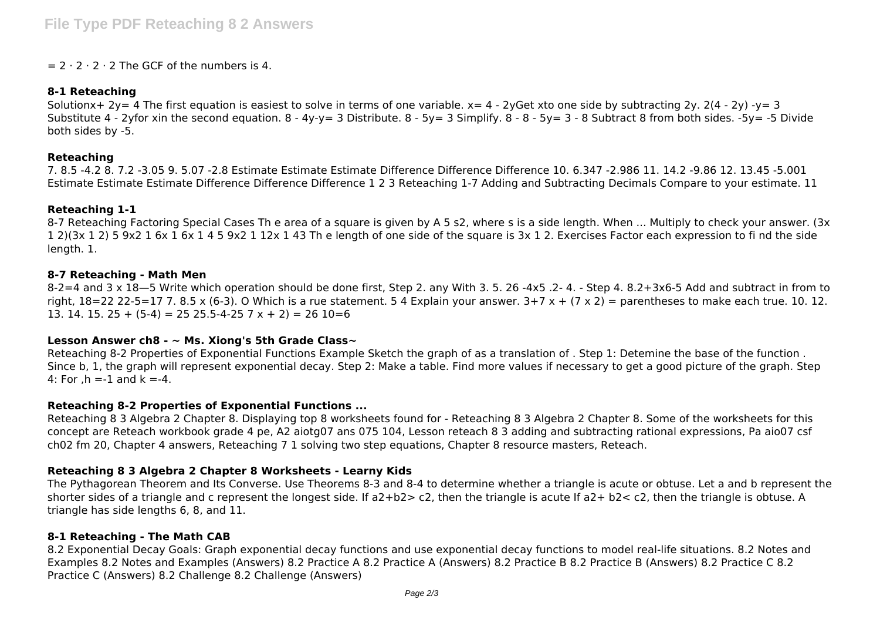## $= 2 \cdot 2 \cdot 2 \cdot 2$  The GCF of the numbers is 4.

## **8-1 Reteaching**

Solutionx+ 2y= 4 The first equation is easiest to solve in terms of one variable.  $x= 4 - 2y$ Get xto one side by subtracting 2y. 2(4 - 2y) -y= 3 Substitute 4 - 2yfor xin the second equation. 8 - 4y-y= 3 Distribute. 8 - 5y= 3 Simplify. 8 - 8 - 5y= 3 - 8 Subtract 8 from both sides. -5y= -5 Divide both sides by -5.

#### **Reteaching**

7. 8.5 -4.2 8. 7.2 -3.05 9. 5.07 -2.8 Estimate Estimate Estimate Difference Difference Difference 10. 6.347 -2.986 11. 14.2 -9.86 12. 13.45 -5.001 Estimate Estimate Estimate Difference Difference Difference 1 2 3 Reteaching 1-7 Adding and Subtracting Decimals Compare to your estimate. 11

## **Reteaching 1-1**

8-7 Reteaching Factoring Special Cases Th e area of a square is given by A 5 s2, where s is a side length. When ... Multiply to check your answer. (3x 1 2)(3x 1 2) 5 9x2 1 6x 1 6x 1 4 5 9x2 1 12x 1 43 Th e length of one side of the square is 3x 1 2. Exercises Factor each expression to fi nd the side length. 1.

## **8-7 Reteaching - Math Men**

 $8-2=4$  and  $3 \times 18-5$  Write which operation should be done first, Step 2. any With 3. 5. 26 -4x5 .2- 4. - Step 4. 8.2+3x6-5 Add and subtract in from to right,  $18=22$  22-5=17 7. 8.5 x (6-3). O Which is a rue statement. 5 4 Explain your answer.  $3+7 \times + (7 \times 2)$  = parentheses to make each true. 10. 12. 13. 14. 15. 25 +  $(5-4)$  = 25 25.5-4-25 7 x + 2) = 26 10=6

# **Lesson Answer ch8 - ~ Ms. Xiong's 5th Grade Class~**

Reteaching 8-2 Properties of Exponential Functions Example Sketch the graph of as a translation of . Step 1: Detemine the base of the function . Since b, 1, the graph will represent exponential decay. Step 2: Make a table. Find more values if necessary to get a good picture of the graph. Step 4: For ,  $h = -1$  and  $k = -4$ .

# **Reteaching 8-2 Properties of Exponential Functions ...**

Reteaching 8 3 Algebra 2 Chapter 8. Displaying top 8 worksheets found for - Reteaching 8 3 Algebra 2 Chapter 8. Some of the worksheets for this concept are Reteach workbook grade 4 pe, A2 aiotg07 ans 075 104, Lesson reteach 8 3 adding and subtracting rational expressions, Pa aio07 csf ch02 fm 20, Chapter 4 answers, Reteaching 7 1 solving two step equations, Chapter 8 resource masters, Reteach.

# **Reteaching 8 3 Algebra 2 Chapter 8 Worksheets - Learny Kids**

The Pythagorean Theorem and Its Converse. Use Theorems 8-3 and 8-4 to determine whether a triangle is acute or obtuse. Let a and b represent the shorter sides of a triangle and c represent the longest side. If a2+b2> c2, then the triangle is acute If a2+ b2< c2, then the triangle is obtuse. A triangle has side lengths 6, 8, and 11.

# **8-1 Reteaching - The Math CAB**

8.2 Exponential Decay Goals: Graph exponential decay functions and use exponential decay functions to model real-life situations. 8.2 Notes and Examples 8.2 Notes and Examples (Answers) 8.2 Practice A 8.2 Practice A (Answers) 8.2 Practice B 8.2 Practice B (Answers) 8.2 Practice C 8.2 Practice C (Answers) 8.2 Challenge 8.2 Challenge (Answers)